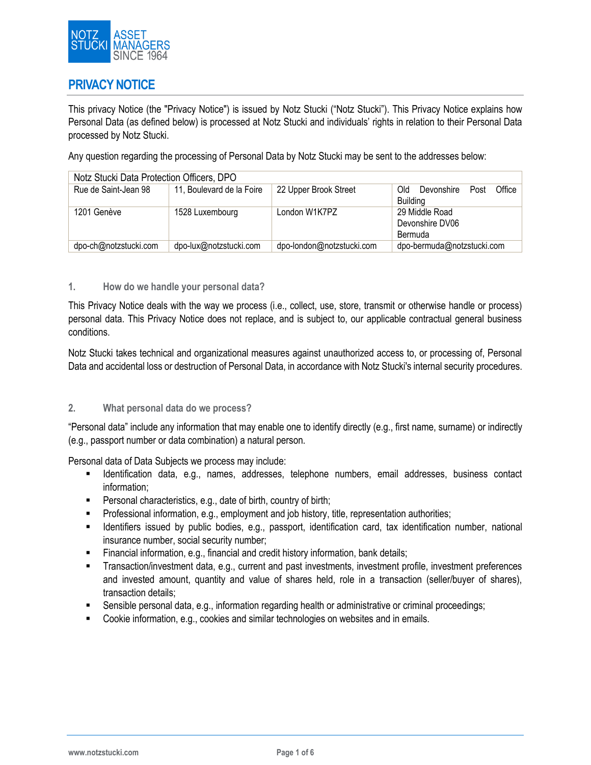

## **PRIVACY NOTICE**

This privacy Notice (the "Privacy Notice") is issued by Notz Stucki ("Notz Stucki"). This Privacy Notice explains how Personal Data (as defined below) is processed at Notz Stucki and individuals' rights in relation to their Personal Data processed by Notz Stucki.

Any question regarding the processing of Personal Data by Notz Stucki may be sent to the addresses below:

| Notz Stucki Data Protection Officers, DPO |                           |                           |                                                        |  |  |
|-------------------------------------------|---------------------------|---------------------------|--------------------------------------------------------|--|--|
| Rue de Saint-Jean 98                      | 11, Boulevard de la Foire | 22 Upper Brook Street     | Office<br>MO.<br>Devonshire<br>Post<br><b>Building</b> |  |  |
| 1201 Genève                               | 1528 Luxembourg           | London W1K7PZ             | 29 Middle Road<br>Devonshire DV06<br><b>Bermuda</b>    |  |  |
| dpo-ch@notzstucki.com                     | dpo-lux@notzstucki.com    | dpo-london@notzstucki.com | dpo-bermuda@notzstucki.com                             |  |  |

## **1. How do we handle your personal data?**

This Privacy Notice deals with the way we process (i.e., collect, use, store, transmit or otherwise handle or process) personal data. This Privacy Notice does not replace, and is subject to, our applicable contractual general business conditions.

Notz Stucki takes technical and organizational measures against unauthorized access to, or processing of, Personal Data and accidental loss or destruction of Personal Data, in accordance with Notz Stucki's internal security procedures.

### **2. What personal data do we process?**

"Personal data" include any information that may enable one to identify directly (e.g., first name, surname) or indirectly (e.g., passport number or data combination) a natural person.

Personal data of Data Subjects we process may include:

- Identification data, e.g., names, addresses, telephone numbers, email addresses, business contact information;
- Personal characteristics, e.g., date of birth, country of birth;
- Professional information, e.g., employment and job history, title, representation authorities;
- Identifiers issued by public bodies, e.g., passport, identification card, tax identification number, national insurance number, social security number;
- Financial information, e.g., financial and credit history information, bank details;
- Transaction/investment data, e.g., current and past investments, investment profile, investment preferences and invested amount, quantity and value of shares held, role in a transaction (seller/buyer of shares), transaction details;
- Sensible personal data, e.g., information regarding health or administrative or criminal proceedings;
- Cookie information, e.g., cookies and similar technologies on websites and in emails.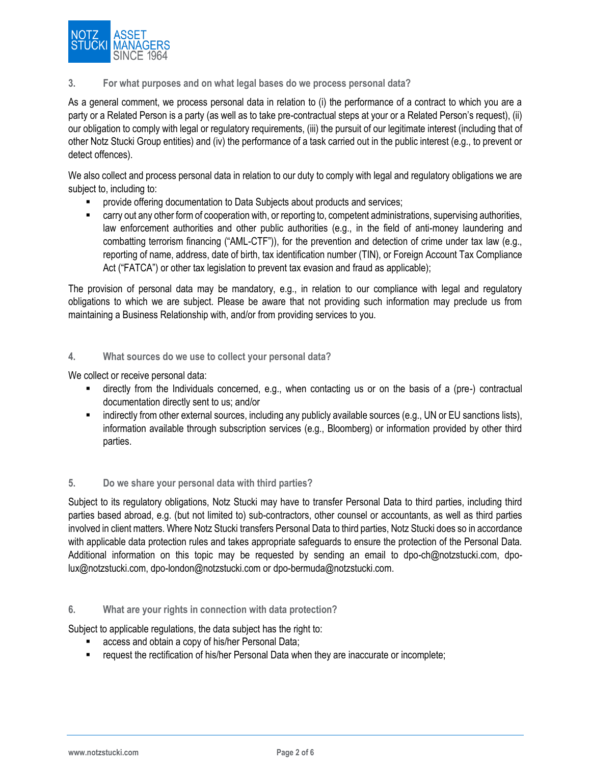

## **3. For what purposes and on what legal bases do we process personal data?**

As a general comment, we process personal data in relation to (i) the performance of a contract to which you are a party or a Related Person is a party (as well as to take pre-contractual steps at your or a Related Person's request), (ii) our obligation to comply with legal or regulatory requirements, (iii) the pursuit of our legitimate interest (including that of other Notz Stucki Group entities) and (iv) the performance of a task carried out in the public interest (e.g., to prevent or detect offences).

We also collect and process personal data in relation to our duty to comply with legal and regulatory obligations we are subject to, including to:

- provide offering documentation to Data Subjects about products and services;
- carry out any other form of cooperation with, or reporting to, competent administrations, supervising authorities, law enforcement authorities and other public authorities (e.g., in the field of anti-money laundering and combatting terrorism financing ("AML-CTF")), for the prevention and detection of crime under tax law (e.g., reporting of name, address, date of birth, tax identification number (TIN), or Foreign Account Tax Compliance Act ("FATCA") or other tax legislation to prevent tax evasion and fraud as applicable);

The provision of personal data may be mandatory, e.g., in relation to our compliance with legal and regulatory obligations to which we are subject. Please be aware that not providing such information may preclude us from maintaining a Business Relationship with, and/or from providing services to you.

### **4. What sources do we use to collect your personal data?**

We collect or receive personal data:

- directly from the Individuals concerned, e.g., when contacting us or on the basis of a (pre-) contractual documentation directly sent to us; and/or
- indirectly from other external sources, including any publicly available sources (e.g., UN or EU sanctions lists), information available through subscription services (e.g., Bloomberg) or information provided by other third parties.

### **5. Do we share your personal data with third parties?**

Subject to its regulatory obligations, Notz Stucki may have to transfer Personal Data to third parties, including third parties based abroad, e.g. (but not limited to) sub-contractors, other counsel or accountants, as well as third parties involved in client matters. Where Notz Stucki transfers Personal Data to third parties, Notz Stucki does so in accordance with applicable data protection rules and takes appropriate safeguards to ensure the protection of the Personal Data. Additional information on this topic may be requested by sending an email to dpo-ch@notzstucki.com, dpolux@notzstucki.com, dpo-london@notzstucki.com or [dpo-bermuda@notzstucki.com.](mailto:dpo-bermuda@notzstucki.com)

### **6. What are your rights in connection with data protection?**

Subject to applicable regulations, the data subject has the right to:

- access and obtain a copy of his/her Personal Data;
- request the rectification of his/her Personal Data when they are inaccurate or incomplete;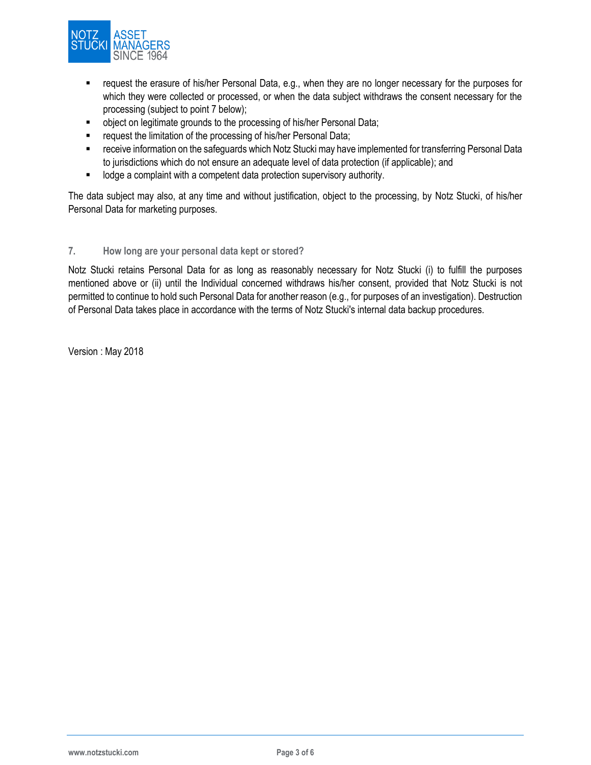

- request the erasure of his/her Personal Data, e.g., when they are no longer necessary for the purposes for which they were collected or processed, or when the data subject withdraws the consent necessary for the processing (subject to point 7 below);
- object on legitimate grounds to the processing of his/her Personal Data;
- **F** request the limitation of the processing of his/her Personal Data;
- receive information on the safeguards which Notz Stucki may have implemented for transferring Personal Data to jurisdictions which do not ensure an adequate level of data protection (if applicable); and
- **-** lodge a complaint with a competent data protection supervisory authority.

The data subject may also, at any time and without justification, object to the processing, by Notz Stucki, of his/her Personal Data for marketing purposes.

### **7. How long are your personal data kept or stored?**

Notz Stucki retains Personal Data for as long as reasonably necessary for Notz Stucki (i) to fulfill the purposes mentioned above or (ii) until the Individual concerned withdraws his/her consent, provided that Notz Stucki is not permitted to continue to hold such Personal Data for another reason (e.g., for purposes of an investigation). Destruction of Personal Data takes place in accordance with the terms of Notz Stucki's internal data backup procedures.

Version : May 2018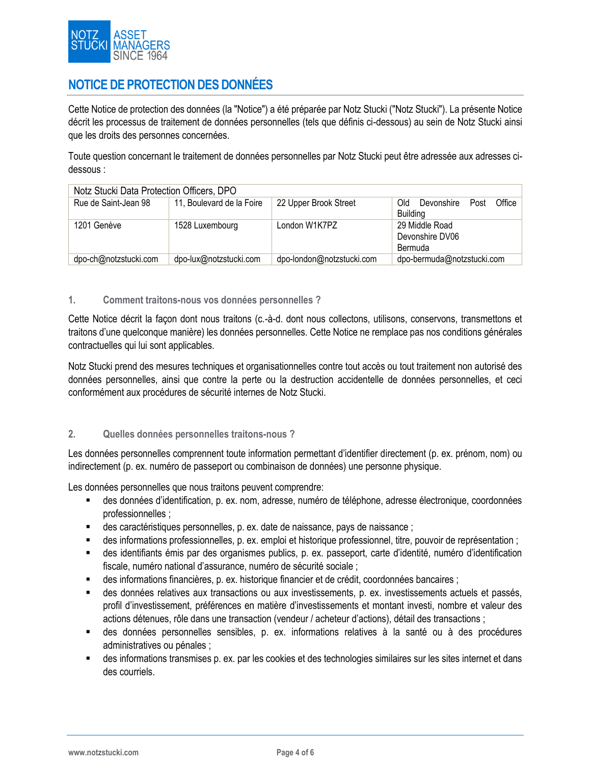

# **NOTICE DE PROTECTION DES DONNÉES**

Cette Notice de protection des données (la "Notice") a été préparée par Notz Stucki ("Notz Stucki"). La présente Notice décrit les processus de traitement de données personnelles (tels que définis ci-dessous) au sein de Notz Stucki ainsi que les droits des personnes concernées.

Toute question concernant le traitement de données personnelles par Notz Stucki peut être adressée aux adresses cidessous :

| Notz Stucki Data Protection Officers, DPO |                           |                           |                                    |  |  |
|-------------------------------------------|---------------------------|---------------------------|------------------------------------|--|--|
| Rue de Saint-Jean 98                      | 11, Boulevard de la Foire | 22 Upper Brook Street     | Office  <br>Old<br>Devonshire Post |  |  |
|                                           |                           |                           | <b>Building</b>                    |  |  |
| 1201 Genève                               | 1528 Luxembourg           | London W1K7PZ             | 29 Middle Road                     |  |  |
|                                           |                           |                           | Devonshire DV06                    |  |  |
|                                           |                           |                           | Bermuda                            |  |  |
| dpo-ch@notzstucki.com                     | dpo-lux@notzstucki.com    | dpo-london@notzstucki.com | dpo-bermuda@notzstucki.com         |  |  |

### **1. Comment traitons-nous vos données personnelles ?**

Cette Notice décrit la façon dont nous traitons (c.-à-d. dont nous collectons, utilisons, conservons, transmettons et traitons d'une quelconque manière) les données personnelles. Cette Notice ne remplace pas nos conditions générales contractuelles qui lui sont applicables.

Notz Stucki prend des mesures techniques et organisationnelles contre tout accès ou tout traitement non autorisé des données personnelles, ainsi que contre la perte ou la destruction accidentelle de données personnelles, et ceci conformément aux procédures de sécurité internes de Notz Stucki.

### **2. Quelles données personnelles traitons-nous ?**

Les données personnelles comprennent toute information permettant d'identifier directement (p. ex. prénom, nom) ou indirectement (p. ex. numéro de passeport ou combinaison de données) une personne physique.

Les données personnelles que nous traitons peuvent comprendre:

- des données d'identification, p. ex. nom, adresse, numéro de téléphone, adresse électronique, coordonnées professionnelles ;
- des caractéristiques personnelles, p. ex. date de naissance, pays de naissance ;
- des informations professionnelles, p. ex. emploi et historique professionnel, titre, pouvoir de représentation ;
- des identifiants émis par des organismes publics, p. ex. passeport, carte d'identité, numéro d'identification fiscale, numéro national d'assurance, numéro de sécurité sociale ;
- des informations financières, p. ex. historique financier et de crédit, coordonnées bancaires ;
- des données relatives aux transactions ou aux investissements, p. ex. investissements actuels et passés, profil d'investissement, préférences en matière d'investissements et montant investi, nombre et valeur des actions détenues, rôle dans une transaction (vendeur / acheteur d'actions), détail des transactions ;
- des données personnelles sensibles, p. ex. informations relatives à la santé ou à des procédures administratives ou pénales ;
- des informations transmises p. ex. par les cookies et des technologies similaires sur les sites internet et dans des courriels.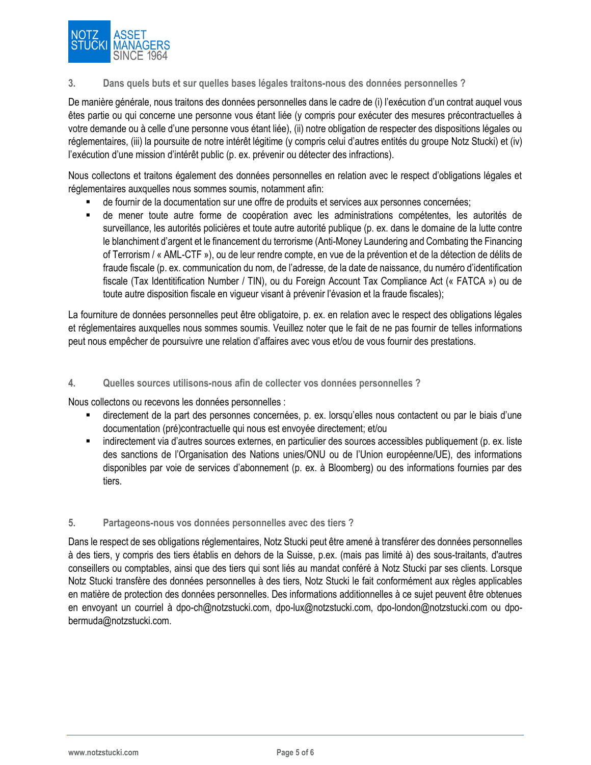

### **3. Dans quels buts et sur quelles bases légales traitons-nous des données personnelles ?**

De manière générale, nous traitons des données personnelles dans le cadre de (i) l'exécution d'un contrat auquel vous êtes partie ou qui concerne une personne vous étant liée (y compris pour exécuter des mesures précontractuelles à votre demande ou à celle d'une personne vous étant liée), (ii) notre obligation de respecter des dispositions légales ou réglementaires, (iii) la poursuite de notre intérêt légitime (y compris celui d'autres entités du groupe Notz Stucki) et (iv) l'exécution d'une mission d'intérêt public (p. ex. prévenir ou détecter des infractions).

Nous collectons et traitons également des données personnelles en relation avec le respect d'obligations légales et réglementaires auxquelles nous sommes soumis, notamment afin:

- de fournir de la documentation sur une offre de produits et services aux personnes concernées;
- de mener toute autre forme de coopération avec les administrations compétentes, les autorités de surveillance, les autorités policières et toute autre autorité publique (p. ex. dans le domaine de la lutte contre le blanchiment d'argent et le financement du terrorisme (Anti-Money Laundering and Combating the Financing of Terrorism / « AML-CTF »), ou de leur rendre compte, en vue de la prévention et de la détection de délits de fraude fiscale (p. ex. communication du nom, de l'adresse, de la date de naissance, du numéro d'identification fiscale (Tax Identitification Number / TIN), ou du Foreign Account Tax Compliance Act (« FATCA ») ou de toute autre disposition fiscale en vigueur visant à prévenir l'évasion et la fraude fiscales);

La fourniture de données personnelles peut être obligatoire, p. ex. en relation avec le respect des obligations légales et réglementaires auxquelles nous sommes soumis. Veuillez noter que le fait de ne pas fournir de telles informations peut nous empêcher de poursuivre une relation d'affaires avec vous et/ou de vous fournir des prestations.

### **4. Quelles sources utilisons-nous afin de collecter vos données personnelles ?**

Nous collectons ou recevons les données personnelles :

- directement de la part des personnes concernées, p. ex. lorsqu'elles nous contactent ou par le biais d'une documentation (pré)contractuelle qui nous est envoyée directement; et/ou
- indirectement via d'autres sources externes, en particulier des sources accessibles publiquement (p. ex. liste des sanctions de l'Organisation des Nations unies/ONU ou de l'Union européenne/UE), des informations disponibles par voie de services d'abonnement (p. ex. à Bloomberg) ou des informations fournies par des tiers.

### **5. Partageons-nous vos données personnelles avec des tiers ?**

Dans le respect de ses obligations réglementaires, Notz Stucki peut être amené à transférer des données personnelles à des tiers, y compris des tiers établis en dehors de la Suisse, p.ex. (mais pas limité à) des sous-traitants, d'autres conseillers ou comptables, ainsi que des tiers qui sont liés au mandat conféré à Notz Stucki par ses clients. Lorsque Notz Stucki transfère des données personnelles à des tiers, Notz Stucki le fait conformément aux règles applicables en matière de protection des données personnelles. Des informations additionnelles à ce sujet peuvent être obtenues en envoyant un courriel à dpo-ch@notzstucki.com, dpo-lux@notzstucki.com, dpo-london@notzstucki.com ou [dpo](mailto:dpo-bermuda@notzstucki.com)[bermuda@notzstucki.com.](mailto:dpo-bermuda@notzstucki.com)